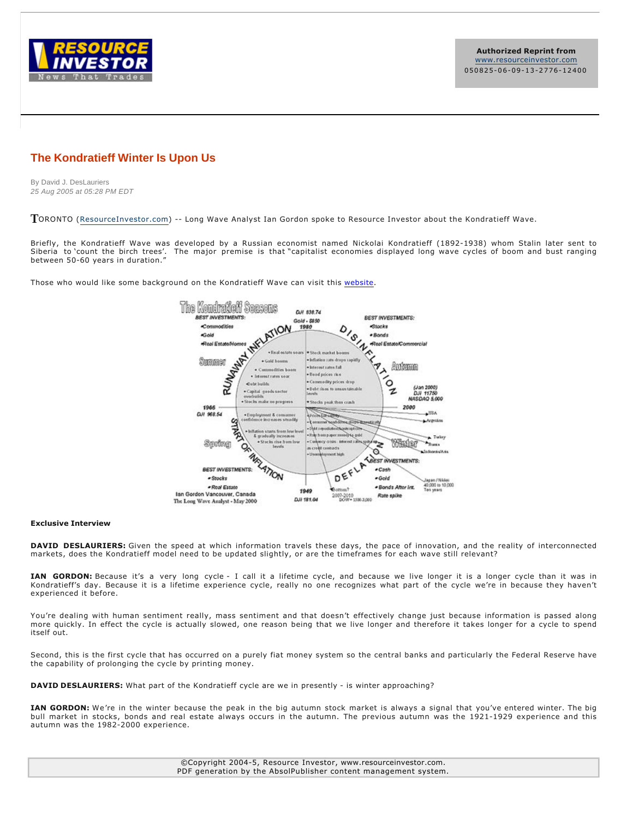

**Authorized Reprint from** www.resourceinvestor.com 050825-06-09-13-2776-12400

### **The Kondratieff Winter Is Upon Us**

By David J. DesLauriers 25 Aug 2005 at 05:28 PM EDT

TORONTO (ResourceInvestor.com) -- Long Wave Analyst Ian Gordon spoke to Resource Investor about the Kondratieff Wave.

Briefly, the Kondratieff Wave was developed by a Russian economist named Nickolai Kondratieff (1892-1938) whom Stalin later sent to Siberia to 'count the birch trees'. The major premise is that "capitalist economies displayed long wave cycles of boom and bust ranging between 50-60 years in duration.'

Those who would like some background on the Kondratieff Wave can visit this website.



#### **Exclusive Interview**

DAVID DESLAURIERS: Given the speed at which information travels these days, the pace of innovation, and the reality of interconnected markets, does the Kondratieff model need to be updated slightly, or are the timeframes for each wave still relevant?

IAN GORDON: Because it's a very long cycle - I call it a lifetime cycle, and because we live longer it is a longer cycle than it was in Kondratieff's day. Because it is a lifetime experience cycle, really no one recognizes what part of the cycle we're in because they haven't experienced it before.

You're dealing with human sentiment really, mass sentiment and that doesn't effectively change just because information is passed along more quickly. In effect the cycle is actually slowed, one reason being that we live longer and therefore it takes longer for a cycle to spend itself out.

Second, this is the first cycle that has occurred on a purely fiat money system so the central banks and particularly the Federal Reserve have the capability of prolonging the cycle by printing money.

**DAVID DESLAURIERS:** What part of the Kondratieff cycle are we in presently - is winter approaching?

IAN GORDON: We're in the winter because the peak in the big autumn stock market is always a signal that you've entered winter. The big bull market in stocks, bonds and real estate always occurs in the autumn. The previous autumn was the 1921-1929 experience and this autumn was the 1982-2000 experience.

> ©Copyright 20045, Resource Investor, www.resourceinvestor.com. PDF generation by the AbsolPublisher content management system.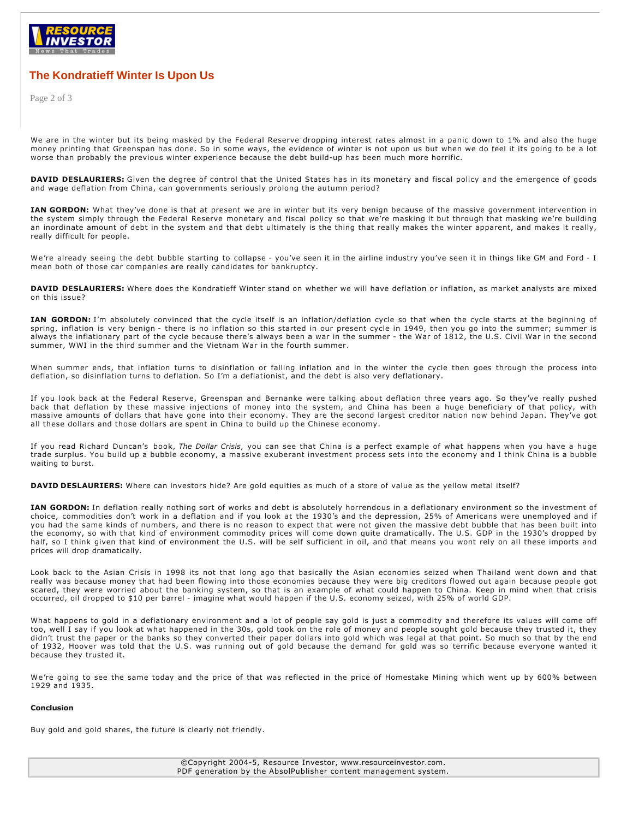

## **The Kondratieff Winter Is Upon Us**

Page 2 of 3

We are in the winter but its being masked by the Federal Reserve dropping interest rates almost in a panic down to 1% and also the huge money printing that Greenspan has done. So in some ways, the evidence of winter is not upon us but when we do feel it its going to be a lot worse than probably the previous winter experience because the debt build-up has been much more horrific.

DAVID DESLAURIERS: Given the degree of control that the United States has in its monetary and fiscal policy and the emergence of goods and wage deflation from China, can governments seriously prolong the autumn period?

**IAN GORDON:** What they've done is that at present we are in winter but its very benign because of the massive government intervention in the system simply through the Federal Reserve monetary and fiscal policy so that we're masking it but through that masking we're building an inordinate amount of debt in the system and that debt ultimately is the thing that really makes the winter apparent, and makes it really, really difficult for people.

We're already seeing the debt bubble starting to collapse - you've seen it in the airline industry you've seen it in things like GM and Ford - I mean both of those car companies are really candidates for bankruptcy.

DAVID DESLAURIERS: Where does the Kondratieff Winter stand on whether we will have deflation or inflation, as market analysts are mixed on this issue?

IAN GORDON: I'm absolutely convinced that the cycle itself is an inflation/deflation cycle so that when the cycle starts at the beginning of spring, inflation is very benign - there is no inflation so this started in our present cycle in 1949, then you go into the summer; summer is always the inflationary part of the cycle because there's always been a war in the summer - the War of 1812, the U.S. Civil War in the second summer, WWI in the third summer and the Vietnam War in the fourth summer.

When summer ends, that inflation turns to disinflation or falling inflation and in the winter the cycle then goes through the process into deflation, so disinflation turns to deflation. So I'm a deflationist, and the debt is also very deflationary.

If you look back at the Federal Reserve, Greenspan and Bernanke were talking about deflation three years ago. So they've really pushed back that deflation by these massive injections of money into the system, and China has been a huge beneficiary of that policy, with massive amounts of dollars that have gone into their economy. They are the second largest creditor nation now behind Japan. They've got all these dollars and those dollars are spent in China to build up the Chinese economy.

If you read Richard Duncan's book, *The Dollar Crisis*, you can see that China is a perfect example of what happens when you have a huge trade surplus. You build up a bubble economy, a massive exuberant investment process sets into the economy and I think China is a bubble waiting to burst.

**DAVID DESLAURIERS:** Where can investors hide? Are gold equities as much of a store of value as the yellow metal itself?

**IAN GORDON:** In deflation really nothing sort of works and debt is absolutely horrendous in a deflationary environment so the investment of choice, commodities don't work in a deflation and if you look at the 1930's and the depression, 25% of Americans were unemployed and if you had the same kinds of numbers, and there is no reason to expect that were not given the massive debt bubble that has been built into the economy, so with that kind of environment commodity prices will come down quite dramatically. The U.S. GDP in the 1930's dropped by half, so I think given that kind of environment the U.S. will be self sufficient in oil, and that means you wont rely on all these imports and prices will drop dramatically.

Look back to the Asian Crisis in 1998 its not that long ago that basically the Asian economies seized when Thailand went down and that really was because money that had been flowing into those economies because they were big creditors flowed out again because people got scared, they were worried about the banking system, so that is an example of what could happen to China. Keep in mind when that crisis occurred, oil dropped to \$10 per barrel imagine what would happen if the U.S. economy seized, with 25% of world GDP.

What happens to gold in a deflationary environment and a lot of people say gold is just a commodity and therefore its values will come off too, well I say if you look at what happened in the 30s, gold took on the role of money and people sought gold because they trusted it, they didn't trust the paper or the banks so they converted their paper dollars into gold which was legal at that point. So much so that by the end of 1932, Hoover was told that the U.S. was running out of gold because the demand for gold was so terrific because everyone wanted it because they trusted it.

We're going to see the same today and the price of that was reflected in the price of Homestake Mining which went up by 600% between 1929 and 1935.

#### **Conclusion**

Buy gold and gold shares, the future is clearly not friendly.